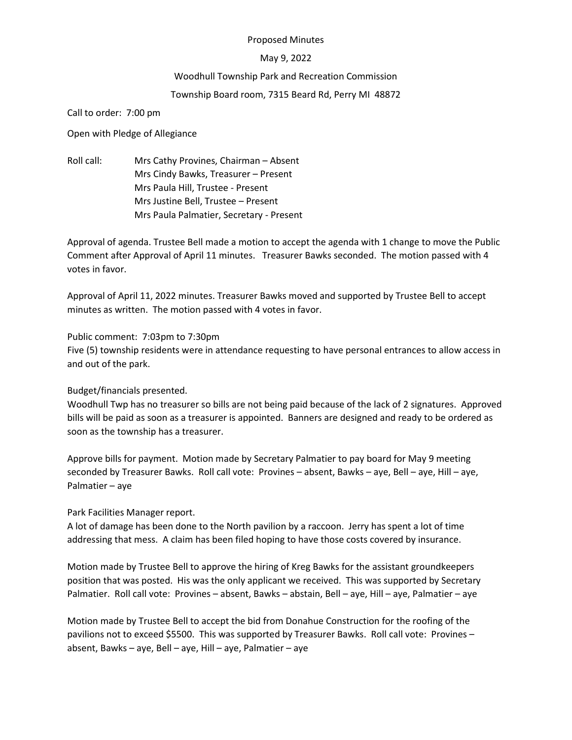#### Proposed Minutes

#### May 9, 2022

## Woodhull Township Park and Recreation Commission

# Township Board room, 7315 Beard Rd, Perry MI 48872

Call to order: 7:00 pm

Open with Pledge of Allegiance

Roll call: Mrs Cathy Provines, Chairman – Absent Mrs Cindy Bawks, Treasurer – Present Mrs Paula Hill, Trustee - Present Mrs Justine Bell, Trustee – Present Mrs Paula Palmatier, Secretary - Present

Approval of agenda. Trustee Bell made a motion to accept the agenda with 1 change to move the Public Comment after Approval of April 11 minutes. Treasurer Bawks seconded. The motion passed with 4 votes in favor.

Approval of April 11, 2022 minutes. Treasurer Bawks moved and supported by Trustee Bell to accept minutes as written. The motion passed with 4 votes in favor.

## Public comment: 7:03pm to 7:30pm

Five (5) township residents were in attendance requesting to have personal entrances to allow access in and out of the park.

## Budget/financials presented.

Woodhull Twp has no treasurer so bills are not being paid because of the lack of 2 signatures. Approved bills will be paid as soon as a treasurer is appointed. Banners are designed and ready to be ordered as soon as the township has a treasurer.

Approve bills for payment. Motion made by Secretary Palmatier to pay board for May 9 meeting seconded by Treasurer Bawks. Roll call vote: Provines – absent, Bawks – aye, Bell – aye, Hill – aye, Palmatier – aye

Park Facilities Manager report.

A lot of damage has been done to the North pavilion by a raccoon. Jerry has spent a lot of time addressing that mess. A claim has been filed hoping to have those costs covered by insurance.

Motion made by Trustee Bell to approve the hiring of Kreg Bawks for the assistant groundkeepers position that was posted. His was the only applicant we received. This was supported by Secretary Palmatier. Roll call vote: Provines – absent, Bawks – abstain, Bell – aye, Hill – aye, Palmatier – aye

Motion made by Trustee Bell to accept the bid from Donahue Construction for the roofing of the pavilions not to exceed \$5500. This was supported by Treasurer Bawks. Roll call vote: Provines – absent, Bawks – aye, Bell – aye, Hill – aye, Palmatier – aye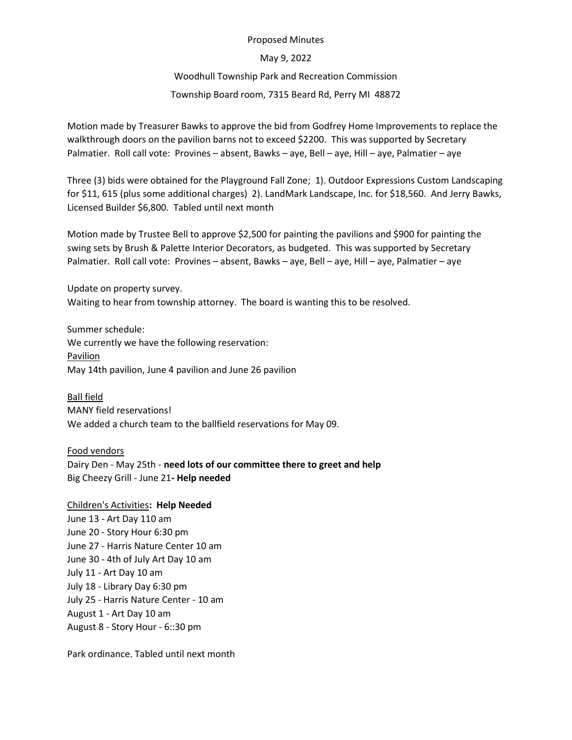#### Proposed Minutes

#### May 9, 2022

## Woodhull Township Park and Recreation Commission

# Township Board room, 7315 Beard Rd, Perry MI 48872

Motion made by Treasurer Bawks to approve the bid from Godfrey Home Improvements to replace the walkthrough doors on the pavilion barns not to exceed \$2200. This was supported by Secretary Palmatier. Roll call vote: Provines – absent, Bawks – aye, Bell – aye, Hill – aye, Palmatier – aye

Three (3) bids were obtained for the Playground Fall Zone; 1). Outdoor Expressions Custom Landscaping for \$11, 615 (plus some additional charges) 2). LandMark Landscape, Inc. for \$18,560. And Jerry Bawks, Licensed Builder \$6,800. Tabled until next month

Motion made by Trustee Bell to approve \$2,500 for painting the pavilions and \$900 for painting the swing sets by Brush & Palette Interior Decorators, as budgeted. This was supported by Secretary Palmatier. Roll call vote: Provines – absent, Bawks – aye, Bell – aye, Hill – aye, Palmatier – aye

Update on property survey. Waiting to hear from township attorney. The board is wanting this to be resolved.

Summer schedule: We currently we have the following reservation: Pavilion May 14th pavilion, June 4 pavilion and June 26 pavilion

Ball field MANY field reservations! We added a church team to the ballfield reservations for May 09.

Food vendors Dairy Den - May 25th - need lots of our committee there to greet and help Big Cheezy Grill - June 21- Help needed

Children's Activities: Help Needed June 13 - Art Day 110 am June 20 - Story Hour 6:30 pm June 27 - Harris Nature Center 10 am June 30 - 4th of July Art Day 10 am July 11 - Art Day 10 am July 18 - Library Day 6:30 pm July 25 - Harris Nature Center - 10 am August 1 - Art Day 10 am August 8 - Story Hour - 6::30 pm

Park ordinance. Tabled until next month